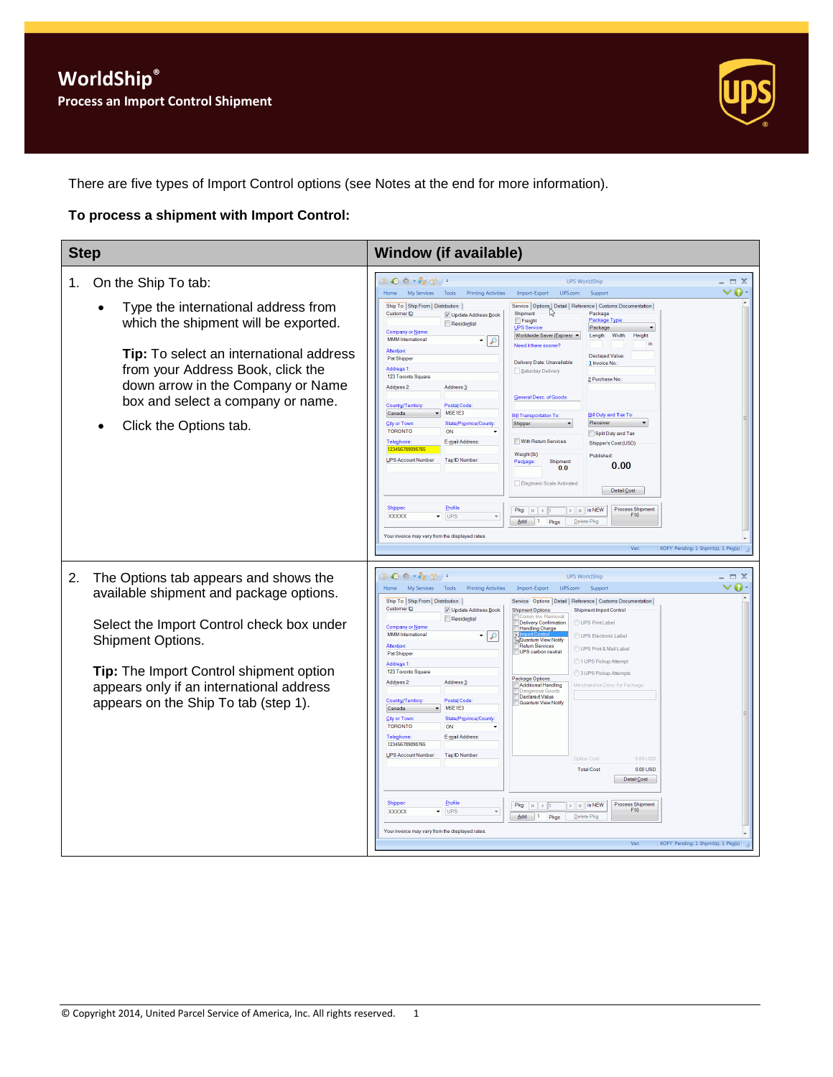

There are five types of Import Control options (see Notes at the end for more information).

#### **To process a shipment with Import Control:**

| <b>Step</b>                                                                                                                                                                                                                                                                                  | <b>Window (if available)</b>                                                                                                                                                                                                                                                                                                                                                                                                                                                                                                                                                                                                                                                                                                                                                                                                                                                                                                                                                                                                                                                                                                                                                                                                                                                                                                                                                                                                                                                                                                                                                                                                                                      |
|----------------------------------------------------------------------------------------------------------------------------------------------------------------------------------------------------------------------------------------------------------------------------------------------|-------------------------------------------------------------------------------------------------------------------------------------------------------------------------------------------------------------------------------------------------------------------------------------------------------------------------------------------------------------------------------------------------------------------------------------------------------------------------------------------------------------------------------------------------------------------------------------------------------------------------------------------------------------------------------------------------------------------------------------------------------------------------------------------------------------------------------------------------------------------------------------------------------------------------------------------------------------------------------------------------------------------------------------------------------------------------------------------------------------------------------------------------------------------------------------------------------------------------------------------------------------------------------------------------------------------------------------------------------------------------------------------------------------------------------------------------------------------------------------------------------------------------------------------------------------------------------------------------------------------------------------------------------------------|
| On the Ship To tab:<br>1.<br>Type the international address from<br>which the shipment will be exported.<br>Tip: To select an international address<br>from your Address Book, click the<br>down arrow in the Company or Name<br>box and select a company or name.<br>Click the Options tab. | ●参・を量<br><b>UPS WorldShip</b><br>$ \Box$ $\times$<br>v 0 -<br>My Services<br>UPS.com<br>Home<br><b>Printing Activities</b><br>Import-Export<br>Tools<br>Support<br>Ship To Ship From Distribution<br>Service   Options   Detail   Reference   Customs Documentation<br>Customer ID:<br>い<br>Shipment<br>Package<br>V Update Address Book<br>Package Type<br>Freight<br>Residential<br>UPS Service<br>Package<br>Company or Name<br>Worldwide Saver (Express<br>Length:<br>Width:<br>Height<br><b>MMM</b> International<br>9   •<br>Need it there sooner?<br><b>Attention</b><br>Declared Value:<br>Pat Shipper<br>Delivery Date: Unavailable<br>1 Invoice No<br>Address <sub>1</sub><br>Saturday Delivery<br>123 Toronto Square<br>2 Purchase No.<br>Address <sub>2</sub> :<br>Address <sub>3</sub><br><b>General Desc. of Goods</b><br>Postal Code<br>Country/Territor<br><b>M5E1E3</b><br>Canada<br><b>Bill Duty and Tax To</b><br><b>Bill Transportation To:</b><br>City or Town<br>State/Province/County<br>Receiver<br>Shipper<br><b>TORONTO</b><br>ON<br>Split Duty and Tax<br>E-mail Address:<br>With Return Services<br>Telephone<br>Shipper's Cost (USD)<br>123456789098765<br>Weight (lb)<br>Published<br>UPS Account Number:<br>Tax ID Number<br>Shipment<br>Package<br>0.00<br>0.0<br>Electronic Scale Activated<br>Detail Cost<br>Shipper<br>Profile<br><b>Process Shipment</b><br>Pkg: $   \cdot   $ 4<br>$\triangleright$   $\triangleright$   is NEW<br>F10<br><b>XXXXX</b><br>UPS<br>$\overline{\phantom{a}}$<br>$Add \t 1$<br>Pkgs<br>Delete Pkg<br>Your invoice may vary from the displayed rates<br>XOFY Pending: 1 Shpmt(s), 1 Pkg(s)<br>Ver |
| 2.<br>The Options tab appears and shows the<br>available shipment and package options.<br>Select the Import Control check box under<br>Shipment Options.<br>Tip: The Import Control shipment option<br>appears only if an international address<br>appears on the Ship To tab (step 1).      | 40 卷 * 62 型 ) *<br><b>UPS WorldShip</b><br>$ \Box$ $\times$<br>ø<br>My Services<br>v<br>Home<br>Tools<br><b>Printing Activities</b><br>Import-Export<br>UPS.com<br>Support<br>Ship To Ship From Distribution<br>Service Options Detail   Reference   Customs Documentation<br>Customer ID<br>V Update Address Book<br>Shipment Import Control<br><b>Shipment Options:</b><br>n Inv Removal<br>Residential<br><b>Delivery Confirmation</b><br>UPS Print Label<br><b>Company or Name</b><br><b>Handling Charge</b><br><b>MMM</b> International<br>▾∥<br>$\mathcal{L}$<br>UPS Electronic Label<br><b>Quantum View Notify</b><br><b>Return Services</b><br><b>Attention</b><br>UPS Print & Mail Label<br>UPS carbon neutral<br>Pat Shippe<br>1 UPS Pickup Attempt<br>Address <sub>1</sub> :<br>123 Toronto Square<br>3 UPS Pickup Attempts<br>Package Options:<br>Address 2:<br>Address <sub>3</sub><br>Merchandise Desc. for Package<br>Additional Handling<br>Declared Value<br>Postal Code<br>Country/Territor<br>Quantum View Notify<br>M5E1E3<br>Canada<br><b>City or Town</b><br>State/Province/County<br><b>TORONTO</b><br>ON<br>E-mail Address<br><b>Telephone</b><br>123456789098765<br>UPS Account Number:<br>Tax ID Number<br>Option Cost<br>0.00 USD<br>0.00 USD<br><b>Total Cost</b><br>Detail Cost<br>Profile<br>Shipper<br><b>Process Shipment</b><br>$\triangleright$ $\parallel$ $\parallel$ is NEW<br>Pkg: $ k $ $ $ $ $ $ $<br>F10<br><b>UPS</b><br><b>XXXXX</b><br>$Add \t1$<br>Pkgs<br>Delete Pkg<br>Your invoice may vary from the displayed rates<br>XOFY Pending: 1 Shpmt(s), 1 Pkg(s)<br>Ver                                                 |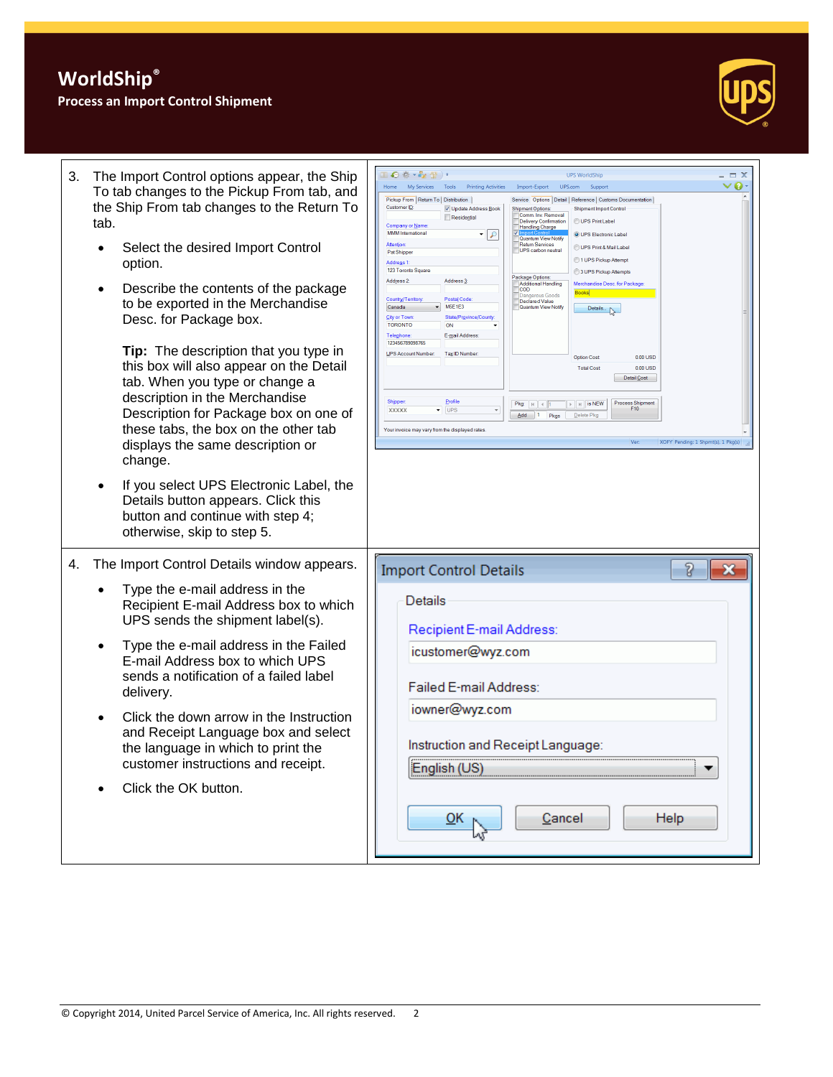# **WorldShip®**

### **Process an Import Control Shipment**



| 3.<br>The Import Control options appear, the Ship<br>To tab changes to the Pickup From tab, and<br>the Ship From tab changes to the Return To<br>tab.<br>Select the desired Import Control<br>$\bullet$<br>option.<br>Describe the contents of the package<br>$\bullet$<br>to be exported in the Merchandise<br>Desc. for Package box.<br>Tip: The description that you type in<br>this box will also appear on the Detail<br>tab. When you type or change a<br>description in the Merchandise<br>Description for Package box on one of<br>these tabs, the box on the other tab<br>displays the same description or<br>change.<br>If you select UPS Electronic Label, the<br>$\bullet$<br>Details button appears. Click this<br>button and continue with step 4;<br>otherwise, skip to step 5. | Ⅱ◎参・☆☆)・<br>$\Box$ $\times$<br><b>UPS WorldShip</b><br>70<br>My Services Tools Printing Activities<br>Import-Export<br>UPS.com<br>Suppor<br>Home<br>Pickup From   Return To   Distribution  <br>Service Options Detail   Reference   Customs Documentation<br>Customer ID:<br>V Update Address Book<br><b>Shipment Options:</b><br><b>Shipment Import Control</b><br>Comm. Inv. Removal<br>Residential<br>UPS Print Label<br><b>Delivery Confirmation</b><br>Company or Name<br><b>Handling Charge</b><br><b>MMM</b> International<br>9 ا ∙<br>O UPS Electronic Labe<br>Quantum View Notify<br><b>Attention</b><br>Return Services<br>UPS Print & Mail Label<br>UPS carbon neutral<br>Pat Shipper<br>1 UPS Pickup Attempt<br>Address <sub>1</sub><br>123 Toronto Square<br>3 UPS Pickup Attempts<br>Package Options:<br>Address <sub>3</sub><br>Address 2:<br><b>Additional Handling</b><br>Merchandise Desc. for Packag<br><b>COD</b><br><b>Books</b><br>angerous Goods<br>Postal Code<br>Country/Territo<br>Declared Value<br><b>M5E1E3</b><br>Quantum View Notifi<br>Canada<br>Details<br><b>City or Town:</b><br>State/Province/County<br><b>TORONTO</b><br>ON<br>E-mail Address:<br>Telephone<br>123456789098765<br>UPS Account Number<br>Tax ID Number<br>0.00 USD<br><b>Option Cost</b><br><b>Total Cost</b><br>$0.00$ USD<br>Detail Cost<br>Profile<br>Shipper<br><b>Process Shipment</b><br>$\mathbb{R}$ $\mathbb{R}$ is NEW<br>Pkg: $ k $ $  1$<br>UPS<br>F <sub>10</sub><br><b>XXXXX</b><br>▼<br>$\mathbf{v}$<br>$\overline{\mathsf{Add}}$ 1<br>Pkgs<br>Delete Pkc<br>Your invoice may vary from the displayed rates<br>XOFY Pending: 1 Shpmt(s), 1 Pkg(s)<br>Ver: |
|------------------------------------------------------------------------------------------------------------------------------------------------------------------------------------------------------------------------------------------------------------------------------------------------------------------------------------------------------------------------------------------------------------------------------------------------------------------------------------------------------------------------------------------------------------------------------------------------------------------------------------------------------------------------------------------------------------------------------------------------------------------------------------------------|-------------------------------------------------------------------------------------------------------------------------------------------------------------------------------------------------------------------------------------------------------------------------------------------------------------------------------------------------------------------------------------------------------------------------------------------------------------------------------------------------------------------------------------------------------------------------------------------------------------------------------------------------------------------------------------------------------------------------------------------------------------------------------------------------------------------------------------------------------------------------------------------------------------------------------------------------------------------------------------------------------------------------------------------------------------------------------------------------------------------------------------------------------------------------------------------------------------------------------------------------------------------------------------------------------------------------------------------------------------------------------------------------------------------------------------------------------------------------------------------------------------------------------------------------------------------------------------------------------------------------------------------------------------------------------|
| The Import Control Details window appears.<br>4.<br>Type the e-mail address in the<br>Recipient E-mail Address box to which<br>UPS sends the shipment label(s).<br>Type the e-mail address in the Failed<br>$\bullet$<br>E-mail Address box to which UPS<br>sends a notification of a failed label<br>delivery.<br>Click the down arrow in the Instruction<br>and Receipt Language box and select<br>the language in which to print the<br>customer instructions and receipt.<br>Click the OK button.                                                                                                                                                                                                                                                                                          | 8<br><b>Import Control Details</b><br>Details<br>Recipient E-mail Address:<br>icustomer@wyz.com<br>Failed E-mail Address:<br>iowner@wyz.com<br>Instruction and Receipt Language:<br>English (US)<br>Cancel<br><b>Help</b><br>ŌΚ                                                                                                                                                                                                                                                                                                                                                                                                                                                                                                                                                                                                                                                                                                                                                                                                                                                                                                                                                                                                                                                                                                                                                                                                                                                                                                                                                                                                                                               |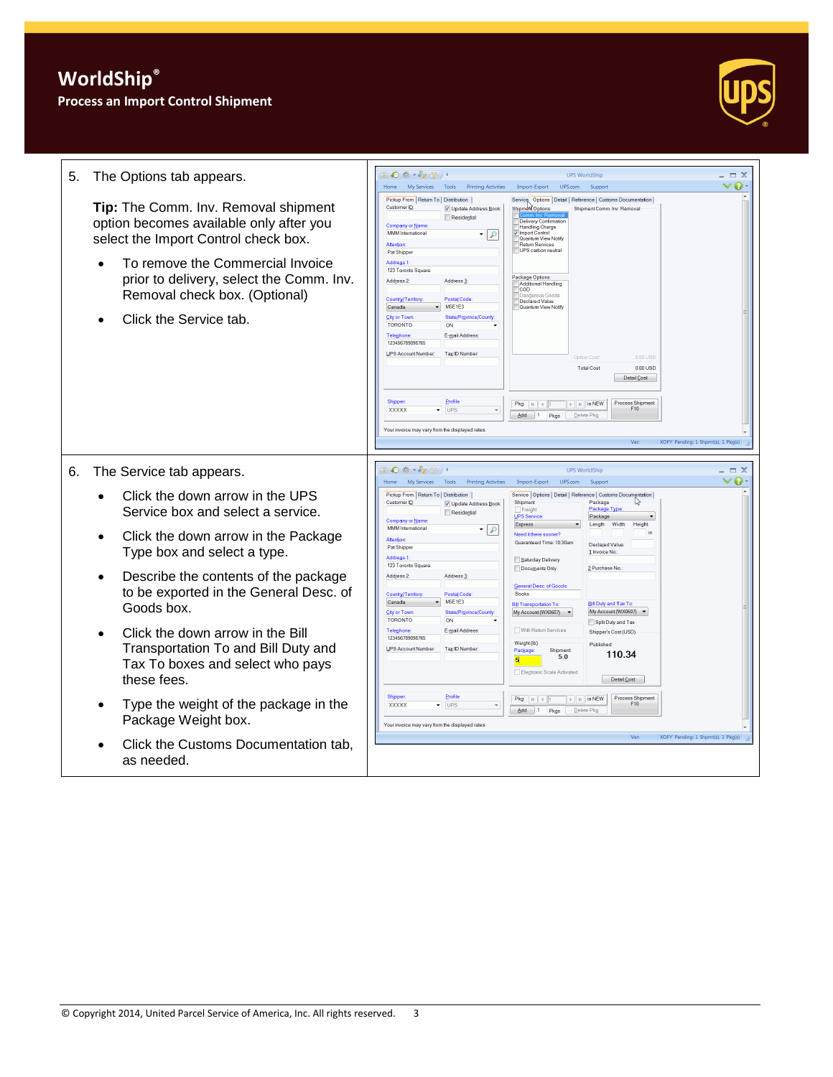## **Process an Import Control Shipment**



|    |                                                                                                                                                                                                                                                                         | □●春・を習)・                                                                                                                                                                                                                                                                                                                                                                                                                                                                                                                                                                                                                                                                                                                                                                                                                                                                                                                                                                                                       |                                    |
|----|-------------------------------------------------------------------------------------------------------------------------------------------------------------------------------------------------------------------------------------------------------------------------|----------------------------------------------------------------------------------------------------------------------------------------------------------------------------------------------------------------------------------------------------------------------------------------------------------------------------------------------------------------------------------------------------------------------------------------------------------------------------------------------------------------------------------------------------------------------------------------------------------------------------------------------------------------------------------------------------------------------------------------------------------------------------------------------------------------------------------------------------------------------------------------------------------------------------------------------------------------------------------------------------------------|------------------------------------|
| 5. | The Options tab appears.                                                                                                                                                                                                                                                | <b>UPS WorldShip</b><br>My Services<br>Tools<br><b>Printing Activities</b><br>Import-Export<br>UPS.com<br>Support<br>Home                                                                                                                                                                                                                                                                                                                                                                                                                                                                                                                                                                                                                                                                                                                                                                                                                                                                                      | - <del>-</del> x<br>$\bullet$      |
|    | Tip: The Comm. Inv. Removal shipment<br>option becomes available only after you<br>select the Import Control check box.<br>To remove the Commercial Invoice<br>Ċ<br>prior to delivery, select the Comm. Inv.<br>Removal check box. (Optional)<br>Click the Service tab. | Pickup From   Return To   Distribution<br>Service Options Detail   Reference   Customs Documentation  <br><b>Customer ID</b><br>V Update Address Book<br>Shipment Options:<br>Shipment Comm. Inv. Removal<br>Residential<br><b>Delivery Confirmation</b><br><b>Company or Name</b><br><b>Handling Charge</b><br><b>MMM</b> International<br>Import Control<br>$\overline{\phantom{a}}$<br>$\mathcal{P}$<br>Quantum View Notify<br><b>Return Services</b><br>Attention<br>UPS carbon neutra<br>Pat Shipper<br><b>Address 1</b><br>123 Toronto Square<br>Package Options:<br>Address 2:<br>Address 3<br>Additional Handling<br><b>COD</b><br>ius Goods<br>Postal Code:<br>Country/Territory<br>Declared Value<br><b>M5E1E3</b><br>Quantum View Notify<br>Canada<br><b>City or Town</b><br>State/Province/Cour<br><b>TORONTO</b><br>ON<br>Telephone<br>E-mail Address<br>123456789098765<br><b>UPS Account Number</b><br>Tax ID Number<br>Option Cost<br>0.00 USD<br><b>Total Cost</b><br>0.00 USD<br>Detail Cost |                                    |
|    |                                                                                                                                                                                                                                                                         | Profile<br>Shipper<br><b>Process Shipment</b><br>$\mathbb{F}$   $\mathbb{H}$   is NEW<br>Pkg: $ k $ $ $ $ $<br>F10<br><b>XXXXXX</b><br>$\overline{\phantom{a}}$ UPS<br>$\overline{\mathsf{Add}}$ 1<br>Pkgs<br>Delete Pkg                                                                                                                                                                                                                                                                                                                                                                                                                                                                                                                                                                                                                                                                                                                                                                                       |                                    |
|    |                                                                                                                                                                                                                                                                         | Your invoice may vary from the displayed rate                                                                                                                                                                                                                                                                                                                                                                                                                                                                                                                                                                                                                                                                                                                                                                                                                                                                                                                                                                  |                                    |
|    |                                                                                                                                                                                                                                                                         | Ver                                                                                                                                                                                                                                                                                                                                                                                                                                                                                                                                                                                                                                                                                                                                                                                                                                                                                                                                                                                                            | XOFY Pendina: 1 Shpmt(s), 1 Pkg(s) |
| 6. | The Service tab appears.                                                                                                                                                                                                                                                | Ⅱ◎※・☆☆)・<br><b>UPS WorldShip</b><br>My Services Tools Printing Activities<br>UPS.com<br>Home<br>Import-Export<br>Support                                                                                                                                                                                                                                                                                                                                                                                                                                                                                                                                                                                                                                                                                                                                                                                                                                                                                       | - = x<br>$\bullet$<br>v            |
|    | Click the down arrow in the UPS<br>Service box and select a service.                                                                                                                                                                                                    | Pickup From   Return To   Distribution<br>Service   Options   Detail   Reference   Customs Documentation  <br>Customer ID<br>Shipment<br>Package<br>V Update Address Book<br>Freight<br>Package Type<br>Residential<br>UPS Service<br>Package<br><b>Company or Name</b><br>Express<br>Length<br><b>Width:</b><br>Height                                                                                                                                                                                                                                                                                                                                                                                                                                                                                                                                                                                                                                                                                        |                                    |
|    | Click the down arrow in the Package<br>Type box and select a type.                                                                                                                                                                                                      | <b>MMM</b> International<br>₽<br>Need it there sooner?<br>Guaranteed Time: 10:30am<br>Declared Value<br>Pat Shipper<br>1 Invoice No<br><b>Address 1</b><br>Saturday Delivery                                                                                                                                                                                                                                                                                                                                                                                                                                                                                                                                                                                                                                                                                                                                                                                                                                   |                                    |
|    | Describe the contents of the package<br>to be exported in the General Desc. of<br>Goods box.                                                                                                                                                                            | 123 Toronto Square<br>Documents Only<br>2 Purchase No.<br>Address <sub>2</sub><br>Address <sub>3</sub><br>General Desc. of Goods<br>Country/Territory<br>Postal Code<br><b>Books</b><br><b>M5E1E3</b><br>Canada<br><b>Bill Duty and Tax To</b><br><b>Bill Transportation To</b><br>My Account (WX0607)<br>City or Town<br>State/Province/County<br>My Account (WX0607) $\blacktriangledown$<br><b>TORONTO</b><br>ON<br>Split Duty and Tax                                                                                                                                                                                                                                                                                                                                                                                                                                                                                                                                                                      |                                    |
|    | Click the down arrow in the Bill<br>Transportation To and Bill Duty and<br>Tax To boxes and select who pays<br>these fees.                                                                                                                                              | With Return Services<br><b>Telephone:</b><br>E-mail Address<br>Shipper's Cost (USD)<br>123456789098765<br>Weight (lb)<br>Published<br><b>UPS Account Number</b><br>Tax ID Number<br>Package<br>Shipment<br>110.34<br>5.0<br>51<br>Electronic Scale Activated<br>Detail Cost                                                                                                                                                                                                                                                                                                                                                                                                                                                                                                                                                                                                                                                                                                                                    |                                    |
|    | Type the weight of the package in the<br>Package Weight box.                                                                                                                                                                                                            | Profile<br>Shipper<br><b>Process Shipment</b><br>$\mathbb{F}$   $\mathbb{H}$   is NEW<br>Pkg:<br>$H$ $\overline{1}$<br>F10<br><b>XXXXXX</b><br>$\overline{\phantom{a}}$ UPS<br>Add 1<br>Pkgs<br>Delete Pko<br>Your invoice may vary from the displayed rates                                                                                                                                                                                                                                                                                                                                                                                                                                                                                                                                                                                                                                                                                                                                                   |                                    |
|    | Click the Customs Documentation tab,<br>as needed.                                                                                                                                                                                                                      | <b>Ver:</b>                                                                                                                                                                                                                                                                                                                                                                                                                                                                                                                                                                                                                                                                                                                                                                                                                                                                                                                                                                                                    | XOFY Pending: 1 Shpmt(s), 1 Pkg(s) |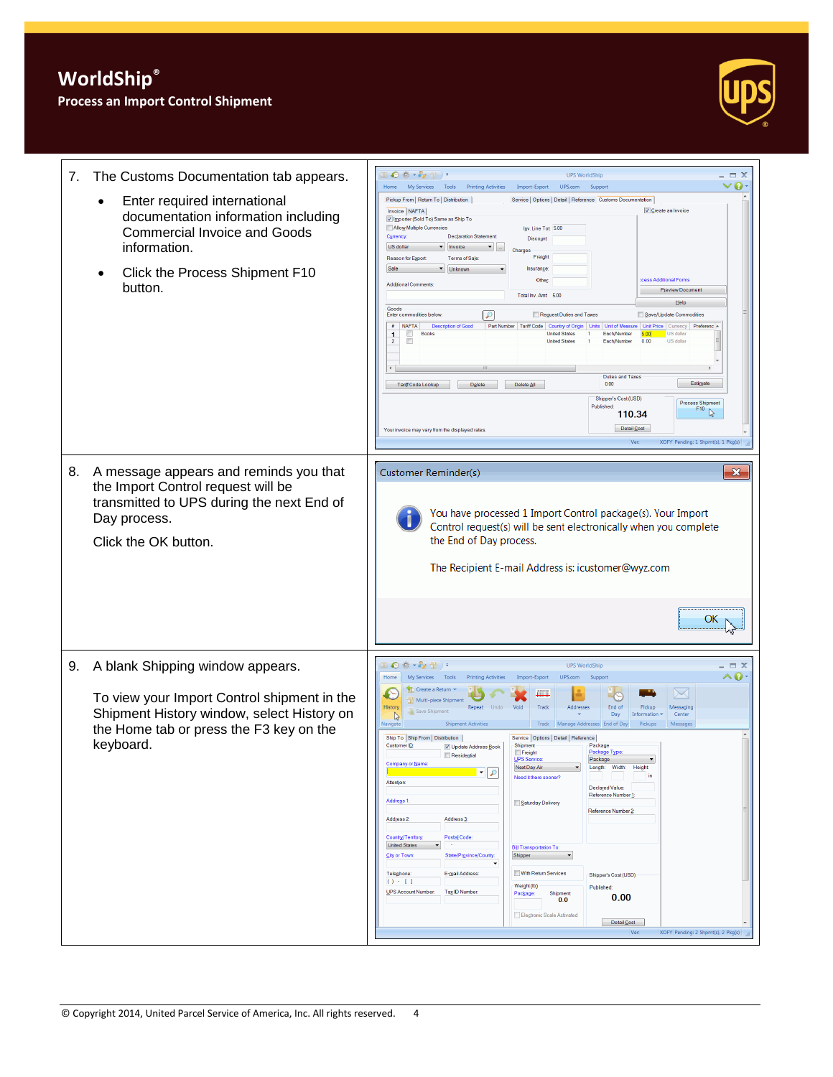## **Process an Import Control Shipment**



| 7. | The Customs Documentation tab appears.                                                                                                                                                | $\mathbb{L} \odot \mathbb{R} \cdot \mathbb{Z} \oplus \mathbb{L}$<br><b>UPS WorldShip</b><br>$ \Box$ $\times$<br>Home My Services Tools<br>ø<br><b>Printing Activities</b><br>Import-Export<br>UPS.com<br>Support                                                                                                                                                                                                                                                                                                                                                                                                                                                                                                                                                                                                                                                                                                                                                                                                                                                                                                                                                                                                                                                                                                                                                                                                                                                   |
|----|---------------------------------------------------------------------------------------------------------------------------------------------------------------------------------------|--------------------------------------------------------------------------------------------------------------------------------------------------------------------------------------------------------------------------------------------------------------------------------------------------------------------------------------------------------------------------------------------------------------------------------------------------------------------------------------------------------------------------------------------------------------------------------------------------------------------------------------------------------------------------------------------------------------------------------------------------------------------------------------------------------------------------------------------------------------------------------------------------------------------------------------------------------------------------------------------------------------------------------------------------------------------------------------------------------------------------------------------------------------------------------------------------------------------------------------------------------------------------------------------------------------------------------------------------------------------------------------------------------------------------------------------------------------------|
|    | Enter required international<br>documentation information including<br><b>Commercial Invoice and Goods</b><br>information.<br>Click the Process Shipment F10<br>button.               | Pickup From   Return To   Distribution  <br>Service   Options   Detail   Reference Customs Documentation<br>Invoice NAFTA<br><b>▽ Create an Invoice</b><br>V Importer (Sold To) Same as Ship To<br>Allow Multiple Currencies<br>Inv. Line Tot 5.00<br>Currency:<br><b>Declaration Statement</b><br>Discount<br>US dollar<br>$\blacktriangleright$ Invoice<br>Charges<br>Freight<br>Reason for Export<br><b>Terms of Sale</b><br>Sale<br>▼ Unknown<br>Insurance:<br>cess Additional Forms<br>Other<br><b>Additional Comments:</b><br><b>Preview Document</b><br>Total Inv. Amt 5.00<br>Help<br>Goods<br>Enter commodities below<br>₽<br>Request Duties and Taxes<br>Save/Update Commodities<br># NAFTA<br><b>Description of Good</b><br>Part Number   Tariff Code   Country of Origin   Units   Unit of Measure   Unit Price   Currency  <br>Preferenc -<br>Each/Number<br><b>Books</b><br><b>United States</b><br>US dollar<br>o<br>1.<br>500<br><b>United States</b><br>Each/Number<br>0.00<br>US dollar<br>$\overline{2}$<br><b>Duties and Taxes</b><br>Estimate<br>0.00<br>Tariff Code Lookup<br>Delete<br>Delete All<br>Shipper's Cost (USD)<br><b>Process Shipment</b><br>Published<br>F10<br>110.34<br>Detail Cost<br>Your invoice may vary from the displayed rates<br>Ver<br>XOFY Pending: 1 Shpmt(s), 1 Pkg(s)                                                                                                                                            |
| 8. | A message appears and reminds you that<br>the Import Control request will be<br>transmitted to UPS during the next End of<br>Day process.<br>Click the OK button.                     | $\mathbf{x}$<br>Customer Reminder(s)<br>You have processed 1 Import Control package(s). Your Import<br>Control request(s) will be sent electronically when you complete<br>the End of Day process.<br>The Recipient E-mail Address is: icustomer@wyz.com<br>ОΚ                                                                                                                                                                                                                                                                                                                                                                                                                                                                                                                                                                                                                                                                                                                                                                                                                                                                                                                                                                                                                                                                                                                                                                                                     |
| 9. | A blank Shipping window appears.<br>To view your Import Control shipment in the<br>Shipment History window, select History on<br>the Home tab or press the F3 key on the<br>keyboard. | ●春・乾雪)。<br>$ \Box$ $X$<br><b>UPS WorldShip</b><br>^0<br>Home<br>My Services Tools<br><b>Printing Activities</b><br>Import-Export<br>UPS.com<br>Support<br>Create a Return<br>$\searrow$<br>€<br><b>THE REAL</b><br>Multi-piece Shipment<br>History<br>Repeat Undo<br>Void<br>Addresses<br>End of<br>Track<br>Pickun<br>Messagino<br>Save Shipment<br>Day<br>Information<br>Center<br>$\mathbb{Q}$<br><b>Shipment Activities</b><br>Track Manage Addresses End of Day<br>Messages<br>Navigate<br>Pickups<br>Ship To Ship From   Distribution  <br>Service   Options   Detail   Reference  <br>Customer ID:<br>Shipment<br>Package<br>V Update Address Book<br>Package Type<br>Freight<br>Residential<br>UPS Service<br>Package<br>Next Day Air<br>Length: Width:<br>Height<br>$\left \cdot\right $ $\rho$<br>in<br>Need it there sooner?<br>Attention:<br>Declared Value:<br>Reference Number 1<br>Address 1:<br>Saturday Delivery<br>Reference Number 2:<br>Address 2:<br>Address <sub>3</sub><br>Country/Territory:<br>Postal Code:<br><b>United States</b><br><b>Bill Transportation To:</b><br>City or Town:<br>State/Province/County:<br>Shipper<br>With Return Services<br>Telephone:<br>E-mail Address:<br>Shipper's Cost (USD)<br>() : []<br>Weight (lb)<br>Published:<br>UPS Account Number:<br>Tax <sub>ID</sub> Number<br>Shipment<br>Package:<br>0.00<br>0.0<br>Electronic Scale Activated<br>Detail Cost<br>XOFY Pending: 2 Shpmt(s), 2 Pkg(s)<br>Ver: |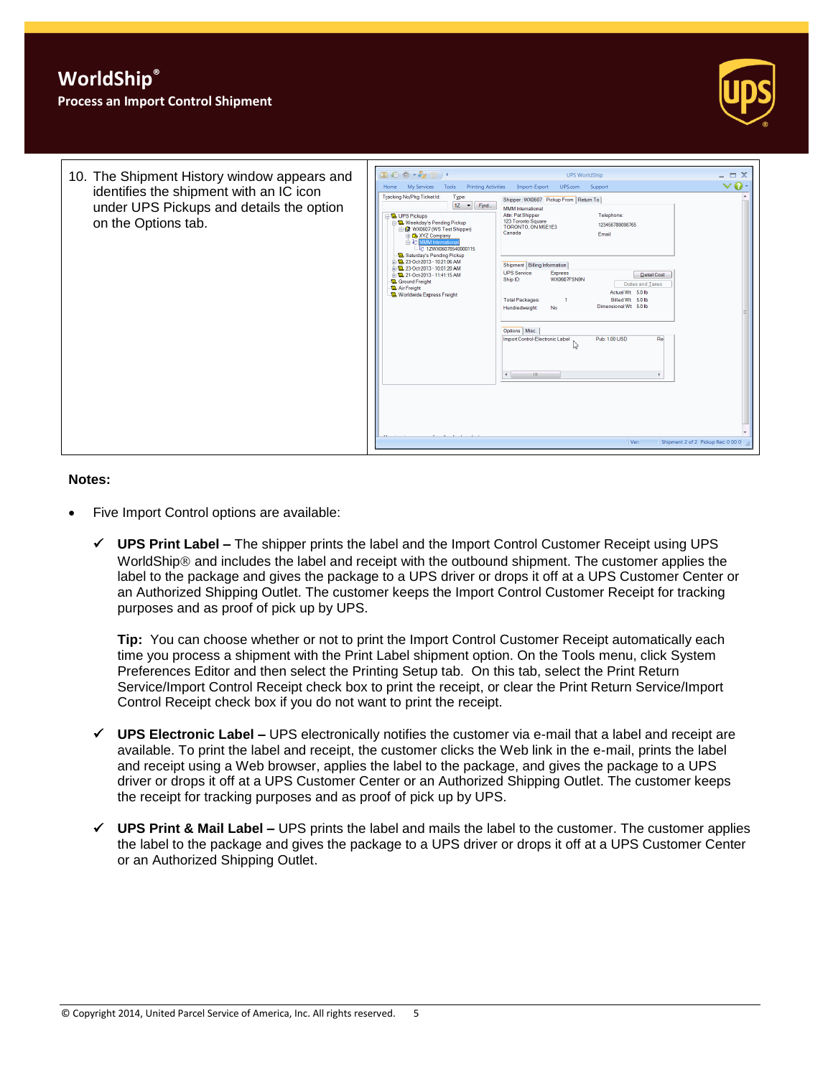#### **Process an Import Control Shipment**





#### **Notes:**

- Five Import Control options are available:
	- **UPS Print Label –** The shipper prints the label and the Import Control Customer Receipt using UPS WorldShip<sup>®</sup> and includes the label and receipt with the outbound shipment. The customer applies the label to the package and gives the package to a UPS driver or drops it off at a UPS Customer Center or an Authorized Shipping Outlet. The customer keeps the Import Control Customer Receipt for tracking purposes and as proof of pick up by UPS.

**Tip:** You can choose whether or not to print the Import Control Customer Receipt automatically each time you process a shipment with the Print Label shipment option. On the Tools menu, click System Preferences Editor and then select the Printing Setup tab. On this tab, select the Print Return Service/Import Control Receipt check box to print the receipt, or clear the Print Return Service/Import Control Receipt check box if you do not want to print the receipt.

- **UPS Electronic Label –** UPS electronically notifies the customer via e-mail that a label and receipt are available. To print the label and receipt, the customer clicks the Web link in the e-mail, prints the label and receipt using a Web browser, applies the label to the package, and gives the package to a UPS driver or drops it off at a UPS Customer Center or an Authorized Shipping Outlet. The customer keeps the receipt for tracking purposes and as proof of pick up by UPS.
- **UPS Print & Mail Label –** UPS prints the label and mails the label to the customer. The customer applies the label to the package and gives the package to a UPS driver or drops it off at a UPS Customer Center or an Authorized Shipping Outlet.